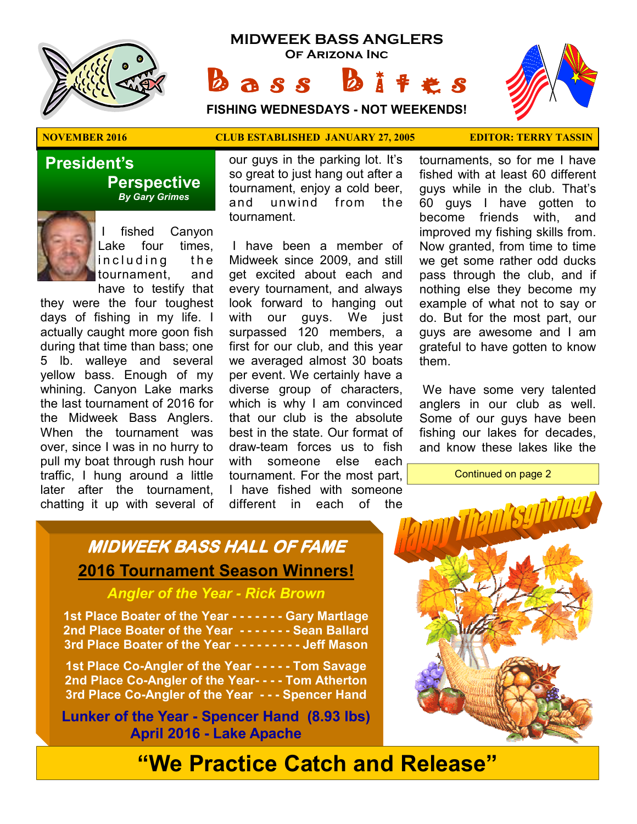

## **MIDWEEK BASS ANGLERS Of Arizona Inc**

 $\mathbf{a} s s$   $\mathbf{b}$ 

**FISHING WEDNESDAYS - NOT WEEKENDS!**



## **NOVEMBER 2016 CLUB ESTABLISHED JANUARY 27, 2005 EDITOR: TERRY TASSIN**

 **President's Perspective**   *By Gary Grimes*



fished Canyon Lake four times, including the tournament, and have to testify that

they were the four toughest days of fishing in my life. I actually caught more goon fish during that time than bass; one 5 lb. walleye and several yellow bass. Enough of my whining. Canyon Lake marks the last tournament of 2016 for the Midweek Bass Anglers. When the tournament was over, since I was in no hurry to pull my boat through rush hour traffic, I hung around a little later after the tournament, chatting it up with several of

our guys in the parking lot. It's so great to just hang out after a tournament, enjoy a cold beer, and unwind from the tournament.

 I have been a member of Midweek since 2009, and still get excited about each and every tournament, and always look forward to hanging out with our guys. We just surpassed 120 members, a first for our club, and this year we averaged almost 30 boats per event. We certainly have a diverse group of characters, which is why I am convinced that our club is the absolute best in the state. Our format of draw-team forces us to fish with someone else each tournament. For the most part, I have fished with someone different in each of the

tournaments, so for me I have fished with at least 60 different guys while in the club. That's 60 guys I have gotten to become friends with, and improved my fishing skills from. Now granted, from time to time we get some rather odd ducks pass through the club, and if nothing else they become my example of what not to say or do. But for the most part, our guys are awesome and I am grateful to have gotten to know them.

 We have some very talented anglers in our club as well. Some of our guys have been fishing our lakes for decades, and know these lakes like the

Continued on page 2

# **MIDWEEK BASS HALL OF FAME 2016 Tournament Season Winners!**

## *Angler of the Year - Rick Brown*

**1st Place Boater of the Year - - - - - - - Gary Martlage 2nd Place Boater of the Year - - - - - - - Sean Ballard 3rd Place Boater of the Year - - - - - - - - - Jeff Mason** 

**1st Place Co-Angler of the Year - - - - - Tom Savage 2nd Place Co-Angler of the Year- - - - Tom Atherton 3rd Place Co-Angler of the Year - - - Spencer Hand**

**Lunker of the Year - Spencer Hand (8.93 lbs) April 2016 - Lake Apache** 



# **"We Practice Catch and Release"**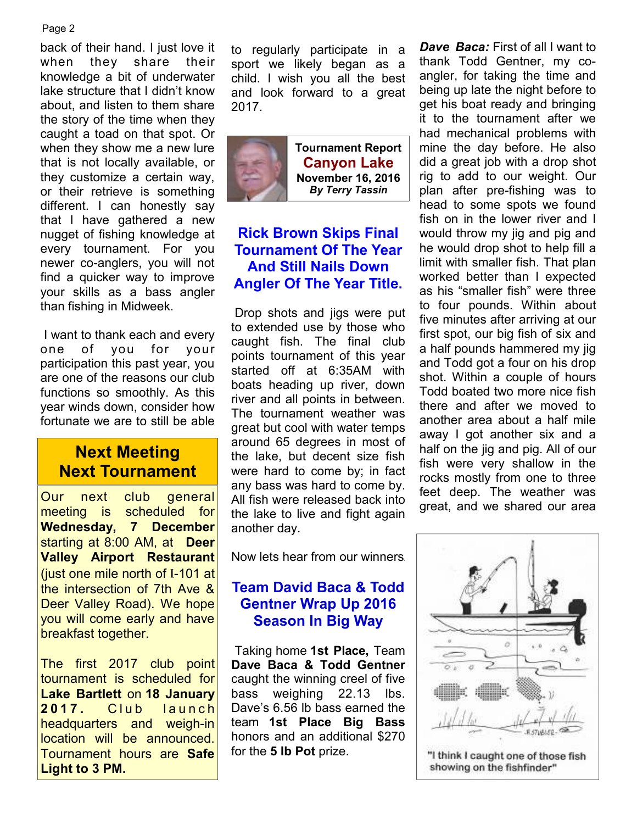#### Page 2

back of their hand. I just love it when they share their knowledge a bit of underwater lake structure that I didn't know about, and listen to them share the story of the time when they caught a toad on that spot. Or when they show me a new lure that is not locally available, or they customize a certain way, or their retrieve is something different. I can honestly say that I have gathered a new nugget of fishing knowledge at every tournament. For you newer co-anglers, you will not find a quicker way to improve your skills as a bass angler than fishing in Midweek.

 I want to thank each and every one of you for your participation this past year, you are one of the reasons our club functions so smoothly. As this year winds down, consider how fortunate we are to still be able

## **Next Meeting Next Tournament**

Our next club general meeting is scheduled for **Wednesday, 7 December**  starting at 8:00 AM, at **Deer Valley Airport Restaurant**  (just one mile north of I-101 at the intersection of 7th Ave & Deer Valley Road). We hope you will come early and have breakfast together.

The first 2017 club point tournament is scheduled for **Lake Bartlett** on **18 January 2017.** Club launch headquarters and weigh-in location will be announced. Tournament hours are **Safe Light to 3 PM.** 

to regularly participate in a sport we likely began as a child. I wish you all the best and look forward to a great 2017.



**Tournament Report Canyon Lake November 16, 2016**  *By Terry Tassin* 

## **Rick Brown Skips Final Tournament Of The Year And Still Nails Down Angler Of The Year Title.**

 Drop shots and jigs were put to extended use by those who caught fish. The final club points tournament of this year started off at 6:35AM with boats heading up river, down river and all points in between. The tournament weather was great but cool with water temps around 65 degrees in most of the lake, but decent size fish were hard to come by; in fact any bass was hard to come by. All fish were released back into the lake to live and fight again another day.

Now lets hear from our winners.

## **Team David Baca & Todd Gentner Wrap Up 2016 Season In Big Way**

 Taking home **1st Place,** Team **Dave Baca & Todd Gentner**  caught the winning creel of five bass weighing 22.13 lbs. Dave's 6.56 lb bass earned the team **1st Place Big Bass** honors and an additional \$270 for the **5 lb Pot** prize.

**Dave Baca:** First of all I want to thank Todd Gentner, my coangler, for taking the time and being up late the night before to get his boat ready and bringing it to the tournament after we had mechanical problems with mine the day before. He also did a great job with a drop shot rig to add to our weight. Our plan after pre-fishing was to head to some spots we found fish on in the lower river and I would throw my jig and pig and he would drop shot to help fill a limit with smaller fish. That plan worked better than I expected as his "smaller fish" were three to four pounds. Within about five minutes after arriving at our first spot, our big fish of six and a half pounds hammered my jig and Todd got a four on his drop shot. Within a couple of hours Todd boated two more nice fish there and after we moved to another area about a half mile away I got another six and a half on the jig and pig. All of our fish were very shallow in the rocks mostly from one to three feet deep. The weather was great, and we shared our area

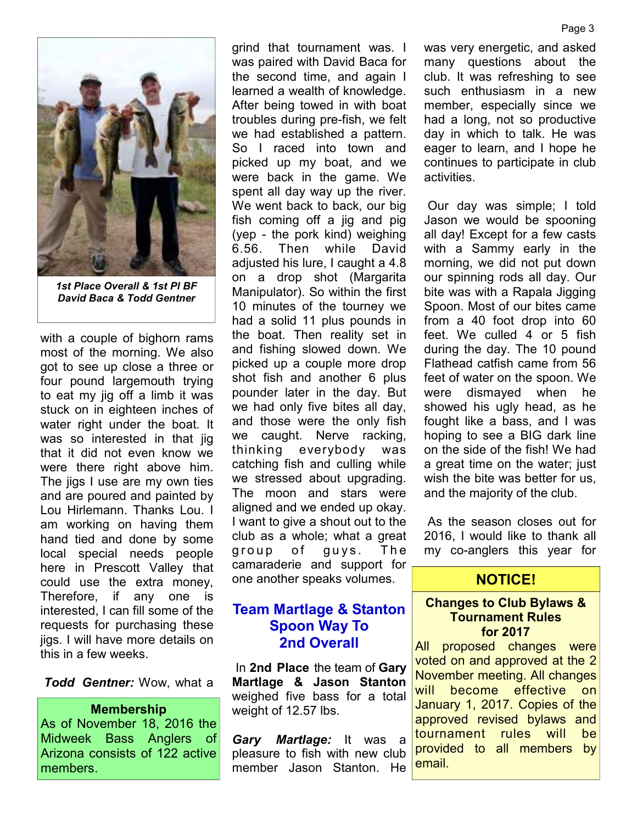

*1st Place Overall & 1st Pl BF David Baca & Todd Gentner* 

with a couple of bighorn rams most of the morning. We also got to see up close a three or four pound largemouth trying to eat my jig off a limb it was stuck on in eighteen inches of water right under the boat. It was so interested in that jig that it did not even know we were there right above him. The jigs I use are my own ties and are poured and painted by Lou Hirlemann. Thanks Lou. I am working on having them hand tied and done by some local special needs people here in Prescott Valley that could use the extra money, Therefore, if any one is interested, I can fill some of the requests for purchasing these jigs. I will have more details on this in a few weeks.

*Todd Gentner:* Wow, what a

#### **Membership**

As of November 18, 2016 the Midweek Bass Anglers of Arizona consists of 122 active members.

grind that tournament was. I was paired with David Baca for the second time, and again I learned a wealth of knowledge. After being towed in with boat troubles during pre-fish, we felt we had established a pattern. So I raced into town and picked up my boat, and we were back in the game. We spent all day way up the river. We went back to back, our big fish coming off a jig and pig (yep - the pork kind) weighing 6.56. Then while David adjusted his lure, I caught a 4.8 on a drop shot (Margarita Manipulator). So within the first 10 minutes of the tourney we had a solid 11 plus pounds in the boat. Then reality set in and fishing slowed down. We picked up a couple more drop shot fish and another 6 plus pounder later in the day. But we had only five bites all day, and those were the only fish we caught. Nerve racking, thinking everybody was catching fish and culling while we stressed about upgrading. The moon and stars were aligned and we ended up okay. I want to give a shout out to the club as a whole; what a great group of guys. The camaraderie and support for one another speaks volumes.

## **Team Martlage & Stanton Spoon Way To 2nd Overall**

 In **2nd Place** the team of **Gary Martlage & Jason Stanton**  weighed five bass for a total weight of 12.57 lbs.

*Gary Martlage:* It was a pleasure to fish with new club member Jason Stanton. He was very energetic, and asked many questions about the club. It was refreshing to see such enthusiasm in a new member, especially since we had a long, not so productive day in which to talk. He was eager to learn, and I hope he continues to participate in club activities.

 Our day was simple; I told Jason we would be spooning all day! Except for a few casts with a Sammy early in the morning, we did not put down our spinning rods all day. Our bite was with a Rapala Jigging Spoon. Most of our bites came from a 40 foot drop into 60 feet. We culled 4 or 5 fish during the day. The 10 pound Flathead catfish came from 56 feet of water on the spoon. We were dismayed when he showed his ugly head, as he fought like a bass, and I was hoping to see a BIG dark line on the side of the fish! We had a great time on the water; just wish the bite was better for us, and the majority of the club.

 As the season closes out for 2016, I would like to thank all my co-anglers this year for

## **NOTICE!**

#### **Changes to Club Bylaws & Tournament Rules for 2017**

All proposed changes were voted on and approved at the 2 November meeting. All changes will become effective on January 1, 2017. Copies of the approved revised bylaws and tournament rules will be provided to all members by email.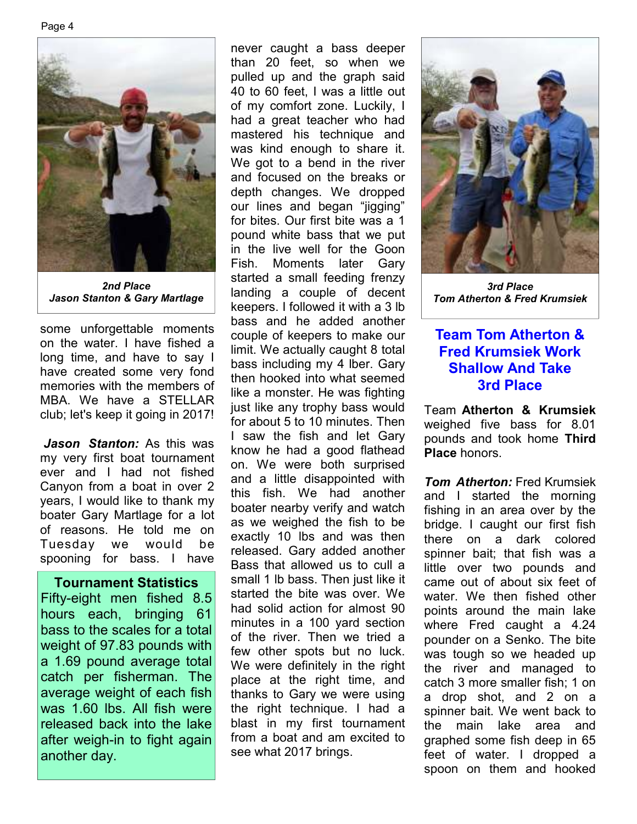Page 4



*2nd Place Jason Stanton & Gary Martlage* 

some unforgettable moments on the water. I have fished a long time, and have to say I have created some very fond memories with the members of MBA. We have a STELLAR club; let's keep it going in 2017!

*Jason Stanton:* As this was my very first boat tournament ever and I had not fished Canyon from a boat in over 2 years, I would like to thank my boater Gary Martlage for a lot of reasons. He told me on Tuesday we would be spooning for bass. I have

#### **Tournament Statistics**

Fifty-eight men fished 8.5 hours each, bringing 61 bass to the scales for a total weight of 97.83 pounds with a 1.69 pound average total catch per fisherman. The average weight of each fish was 1.60 lbs. All fish were released back into the lake after weigh-in to fight again another day.

never caught a bass deeper than 20 feet, so when we pulled up and the graph said 40 to 60 feet, I was a little out of my comfort zone. Luckily, I had a great teacher who had mastered his technique and was kind enough to share it. We got to a bend in the river and focused on the breaks or depth changes. We dropped our lines and began "jigging" for bites. Our first bite was a 1 pound white bass that we put in the live well for the Goon Fish. Moments later Gary started a small feeding frenzy landing a couple of decent keepers. I followed it with a 3 lb bass and he added another couple of keepers to make our limit. We actually caught 8 total bass including my 4 lber. Gary then hooked into what seemed like a monster. He was fighting just like any trophy bass would for about 5 to 10 minutes. Then I saw the fish and let Gary know he had a good flathead on. We were both surprised and a little disappointed with this fish. We had another boater nearby verify and watch as we weighed the fish to be exactly 10 lbs and was then released. Gary added another Bass that allowed us to cull a small 1 lb bass. Then just like it started the bite was over. We had solid action for almost 90 minutes in a 100 yard section of the river. Then we tried a few other spots but no luck. We were definitely in the right place at the right time, and thanks to Gary we were using the right technique. I had a blast in my first tournament from a boat and am excited to see what 2017 brings.



*3rd Place Tom Atherton & Fred Krumsiek* 

## **Team Tom Atherton & Fred Krumsiek Work Shallow And Take 3rd Place**

Team **Atherton & Krumsiek**  weighed five bass for 8.01 pounds and took home **Third Place** honors.

*Tom Atherton:* Fred Krumsiek and I started the morning fishing in an area over by the bridge. I caught our first fish there on a dark colored spinner bait; that fish was a little over two pounds and came out of about six feet of water. We then fished other points around the main lake where Fred caught a 4.24 pounder on a Senko. The bite was tough so we headed up the river and managed to catch 3 more smaller fish; 1 on a drop shot, and 2 on a spinner bait. We went back to the main lake area and graphed some fish deep in 65 feet of water. I dropped a spoon on them and hooked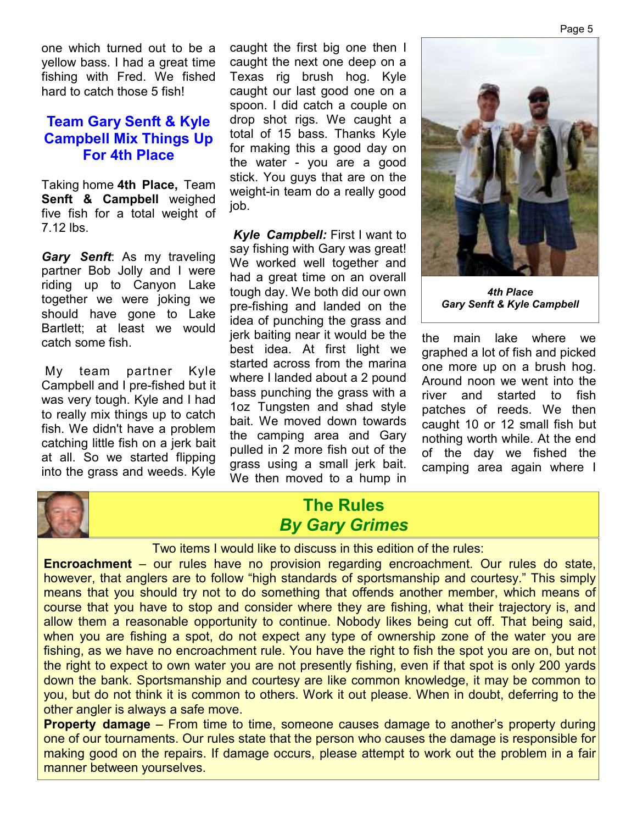one which turned out to be a yellow bass. I had a great time fishing with Fred. We fished hard to catch those 5 fish!

## **Team Gary Senft & Kyle Campbell Mix Things Up For 4th Place**

Taking home **4th Place,** Team **Senft & Campbell** weighed five fish for a total weight of 7.12 lbs.

*Gary Senft*: As my traveling partner Bob Jolly and I were riding up to Canyon Lake together we were joking we should have gone to Lake Bartlett; at least we would catch some fish.

 My team partner Kyle Campbell and I pre-fished but it was very tough. Kyle and I had to really mix things up to catch fish. We didn't have a problem catching little fish on a jerk bait at all. So we started flipping into the grass and weeds. Kyle

caught the first big one then I caught the next one deep on a Texas rig brush hog. Kyle caught our last good one on a spoon. I did catch a couple on drop shot rigs. We caught a total of 15 bass. Thanks Kyle for making this a good day on the water - you are a good stick. You guys that are on the weight-in team do a really good job.

*Kyle Campbell:* First I want to say fishing with Gary was great! We worked well together and had a great time on an overall tough day. We both did our own pre-fishing and landed on the idea of punching the grass and jerk baiting near it would be the best idea. At first light we started across from the marina where I landed about a 2 pound bass punching the grass with a 1oz Tungsten and shad style bait. We moved down towards the camping area and Gary pulled in 2 more fish out of the grass using a small jerk bait. We then moved to a hump in



*4th Place Gary Senft & Kyle Campbell* 

the main lake where we graphed a lot of fish and picked one more up on a brush hog. Around noon we went into the river and started to fish patches of reeds. We then caught 10 or 12 small fish but nothing worth while. At the end of the day we fished the camping area again where I



## **The Rules**  *By Gary Grimes*

Two items I would like to discuss in this edition of the rules:

**Encroachment** – our rules have no provision regarding encroachment. Our rules do state, however, that anglers are to follow "high standards of sportsmanship and courtesy." This simply means that you should try not to do something that offends another member, which means of course that you have to stop and consider where they are fishing, what their trajectory is, and allow them a reasonable opportunity to continue. Nobody likes being cut off. That being said, when you are fishing a spot, do not expect any type of ownership zone of the water you are fishing, as we have no encroachment rule. You have the right to fish the spot you are on, but not the right to expect to own water you are not presently fishing, even if that spot is only 200 yards down the bank. Sportsmanship and courtesy are like common knowledge, it may be common to you, but do not think it is common to others. Work it out please. When in doubt, deferring to the other angler is always a safe move.

**Property damage** – From time to time, someone causes damage to another's property during one of our tournaments. Our rules state that the person who causes the damage is responsible for making good on the repairs. If damage occurs, please attempt to work out the problem in a fair manner between yourselves.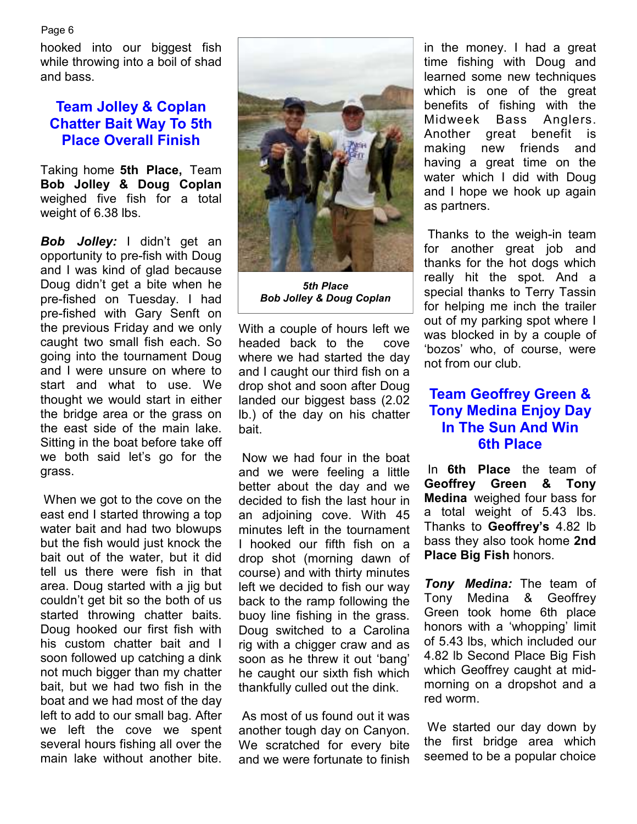Page 6

hooked into our biggest fish while throwing into a boil of shad and bass.

## **Team Jolley & Coplan Chatter Bait Way To 5th Place Overall Finish**

Taking home **5th Place,** Team **Bob Jolley & Doug Coplan**  weighed five fish for a total weight of 6.38 lbs.

*Bob Jolley:* I didn't get an opportunity to pre-fish with Doug and I was kind of glad because Doug didn't get a bite when he pre-fished on Tuesday. I had pre-fished with Gary Senft on the previous Friday and we only caught two small fish each. So going into the tournament Doug and I were unsure on where to start and what to use. We thought we would start in either the bridge area or the grass on the east side of the main lake. Sitting in the boat before take off we both said let's go for the grass.

 When we got to the cove on the east end I started throwing a top water bait and had two blowups but the fish would just knock the bait out of the water, but it did tell us there were fish in that area. Doug started with a jig but couldn't get bit so the both of us started throwing chatter baits. Doug hooked our first fish with his custom chatter bait and I soon followed up catching a dink not much bigger than my chatter bait, but we had two fish in the boat and we had most of the day left to add to our small bag. After we left the cove we spent several hours fishing all over the main lake without another bite



*5th Place Bob Jolley & Doug Coplan* 

With a couple of hours left we headed back to the cove where we had started the day and I caught our third fish on a drop shot and soon after Doug landed our biggest bass (2.02 lb.) of the day on his chatter bait.

 Now we had four in the boat and we were feeling a little better about the day and we decided to fish the last hour in an adjoining cove. With 45 minutes left in the tournament I hooked our fifth fish on a drop shot (morning dawn of course) and with thirty minutes left we decided to fish our way back to the ramp following the buoy line fishing in the grass. Doug switched to a Carolina rig with a chigger craw and as soon as he threw it out 'bang' he caught our sixth fish which thankfully culled out the dink.

 As most of us found out it was another tough day on Canyon. We scratched for every bite and we were fortunate to finish

in the money. I had a great time fishing with Doug and learned some new techniques which is one of the great benefits of fishing with the Midweek Bass Anglers. Another great benefit is making new friends and having a great time on the water which I did with Doug and I hope we hook up again as partners.

 Thanks to the weigh-in team for another great job and thanks for the hot dogs which really hit the spot. And a special thanks to Terry Tassin for helping me inch the trailer out of my parking spot where I was blocked in by a couple of 'bozos' who, of course, were not from our club.

## **Team Geoffrey Green & Tony Medina Enjoy Day In The Sun And Win 6th Place**

 In **6th Place** the team of **Geoffrey Green & Tony Medina** weighed four bass for a total weight of 5.43 lbs. Thanks to **Geoffrey's** 4.82 lb bass they also took home **2nd Place Big Fish** honors.

*Tony Medina:* The team of Tony Medina & Geoffrey Green took home 6th place honors with a 'whopping' limit of 5.43 lbs, which included our 4.82 lb Second Place Big Fish which Geoffrey caught at midmorning on a dropshot and a red worm.

 We started our day down by the first bridge area which seemed to be a popular choice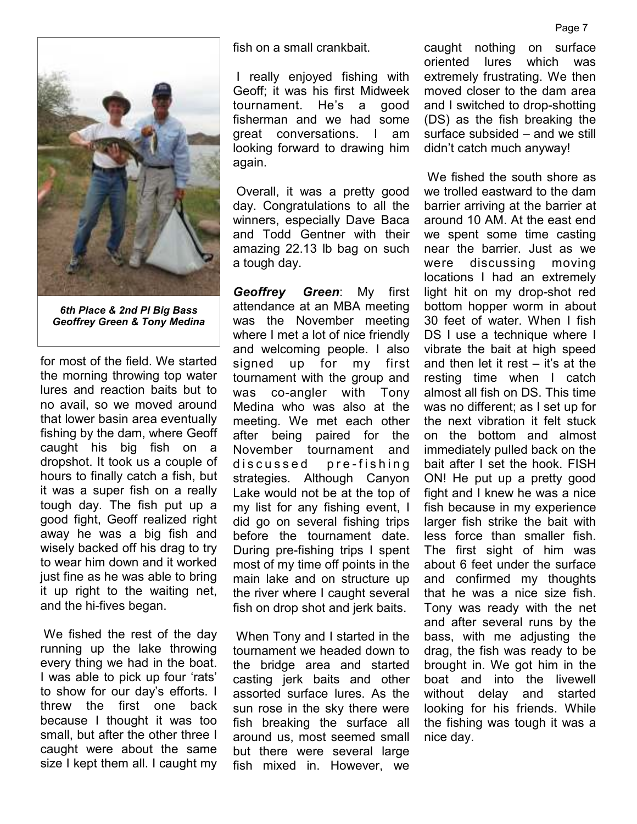

*6th Place & 2nd Pl Big Bass Geoffrey Green & Tony Medina* 

for most of the field. We started the morning throwing top water lures and reaction baits but to no avail, so we moved around that lower basin area eventually fishing by the dam, where Geoff caught his big fish on a dropshot. It took us a couple of hours to finally catch a fish, but it was a super fish on a really tough day. The fish put up a good fight, Geoff realized right away he was a big fish and wisely backed off his drag to try to wear him down and it worked just fine as he was able to bring it up right to the waiting net, and the hi-fives began.

 We fished the rest of the day running up the lake throwing every thing we had in the boat. I was able to pick up four 'rats' to show for our day's efforts. I threw the first one back because I thought it was too small, but after the other three I caught were about the same size I kept them all. I caught my

fish on a small crankbait.

 I really enjoyed fishing with Geoff; it was his first Midweek tournament. He's a good fisherman and we had some great conversations. I am looking forward to drawing him again.

 Overall, it was a pretty good day. Congratulations to all the winners, especially Dave Baca and Todd Gentner with their amazing 22.13 lb bag on such a tough day.

*Geoffrey Green*: My first attendance at an MBA meeting was the November meeting where I met a lot of nice friendly and welcoming people. I also signed up for my first tournament with the group and was co-angler with Tony Medina who was also at the meeting. We met each other after being paired for the November tournament and discussed pre-fishing strategies. Although Canyon Lake would not be at the top of my list for any fishing event, I did go on several fishing trips before the tournament date. During pre-fishing trips I spent most of my time off points in the main lake and on structure up the river where I caught several fish on drop shot and jerk baits.

 When Tony and I started in the tournament we headed down to the bridge area and started casting jerk baits and other assorted surface lures. As the sun rose in the sky there were fish breaking the surface all around us, most seemed small but there were several large fish mixed in. However, we

caught nothing on surface oriented lures which was extremely frustrating. We then moved closer to the dam area and I switched to drop-shotting (DS) as the fish breaking the surface subsided – and we still didn't catch much anyway!

 We fished the south shore as we trolled eastward to the dam barrier arriving at the barrier at around 10 AM. At the east end we spent some time casting near the barrier. Just as we were discussing moving locations I had an extremely light hit on my drop-shot red bottom hopper worm in about 30 feet of water. When I fish DS I use a technique where I vibrate the bait at high speed and then let it rest  $-$  it's at the resting time when I catch almost all fish on DS. This time was no different; as I set up for the next vibration it felt stuck on the bottom and almost immediately pulled back on the bait after I set the hook. FISH ON! He put up a pretty good fight and I knew he was a nice fish because in my experience larger fish strike the bait with less force than smaller fish. The first sight of him was about 6 feet under the surface and confirmed my thoughts that he was a nice size fish. Tony was ready with the net and after several runs by the bass, with me adjusting the drag, the fish was ready to be brought in. We got him in the boat and into the livewell without delay and started looking for his friends. While the fishing was tough it was a nice day.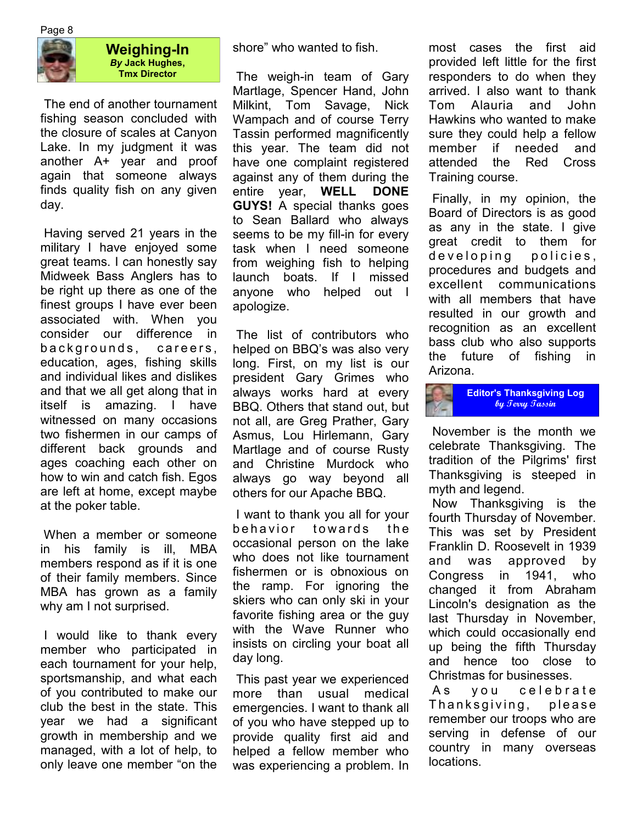



**Weighing-In**  *By* **Jack Hughes, Tmx Director**

 The end of another tournament fishing season concluded with the closure of scales at Canyon Lake. In my judgment it was another A+ year and proof again that someone always finds quality fish on any given day.

 Having served 21 years in the military I have enjoyed some great teams. I can honestly say Midweek Bass Anglers has to be right up there as one of the finest groups I have ever been associated with. When you consider our difference in backgrounds, careers, education, ages, fishing skills and individual likes and dislikes and that we all get along that in itself is amazing. I have witnessed on many occasions two fishermen in our camps of different back grounds and ages coaching each other on how to win and catch fish. Egos are left at home, except maybe at the poker table.

 When a member or someone in his family is ill, MBA members respond as if it is one of their family members. Since MBA has grown as a family why am I not surprised.

 I would like to thank every member who participated in each tournament for your help, sportsmanship, and what each of you contributed to make our club the best in the state. This year we had a significant growth in membership and we managed, with a lot of help, to only leave one member "on the shore" who wanted to fish.

 The weigh-in team of Gary Martlage, Spencer Hand, John Milkint, Tom Savage, Nick Wampach and of course Terry Tassin performed magnificently this year. The team did not have one complaint registered against any of them during the entire year, **WELL DONE GUYS!** A special thanks goes to Sean Ballard who always seems to be my fill-in for every task when I need someone from weighing fish to helping launch boats. If I missed anyone who helped out I apologize.

 The list of contributors who helped on BBQ's was also very long. First, on my list is our president Gary Grimes who always works hard at every BBQ. Others that stand out, but not all, are Greg Prather, Gary Asmus, Lou Hirlemann, Gary Martlage and of course Rusty and Christine Murdock who always go way beyond all others for our Apache BBQ.

 I want to thank you all for your behavior towards the occasional person on the lake who does not like tournament fishermen or is obnoxious on the ramp. For ignoring the skiers who can only ski in your favorite fishing area or the guy with the Wave Runner who insists on circling your boat all day long.

 This past year we experienced more than usual medical emergencies. I want to thank all of you who have stepped up to provide quality first aid and helped a fellow member who was experiencing a problem. In most cases the first aid provided left little for the first responders to do when they arrived. I also want to thank Tom Alauria and John Hawkins who wanted to make sure they could help a fellow member if needed and attended the Red Cross Training course.

 Finally, in my opinion, the Board of Directors is as good as any in the state. I give great credit to them for developing policies, procedures and budgets and excellent communications with all members that have resulted in our growth and recognition as an excellent bass club who also supports the future of fishing in Arizona.

**Editor's Thanksgiving Log by Terry Tassin** 

 November is the month we celebrate Thanksgiving. The tradition of the Pilgrims' first Thanksgiving is steeped in myth and legend.

 Now Thanksgiving is the fourth Thursday of November. This was set by President Franklin D. Roosevelt in 1939 and was approved by Congress in 1941, who changed it from Abraham Lincoln's designation as the last Thursday in November, which could occasionally end up being the fifth Thursday and hence too close to Christmas for businesses.

As you celebrate Thanksgiving, please remember our troops who are serving in defense of our country in many overseas locations.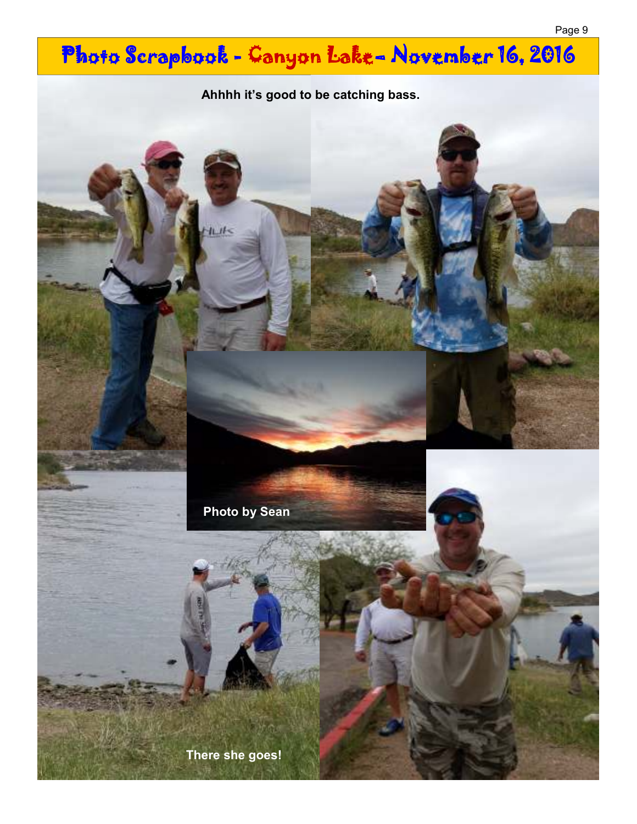# Photo Scrapbook - Canyon Lake- November 16, 2016





**There she goes!**